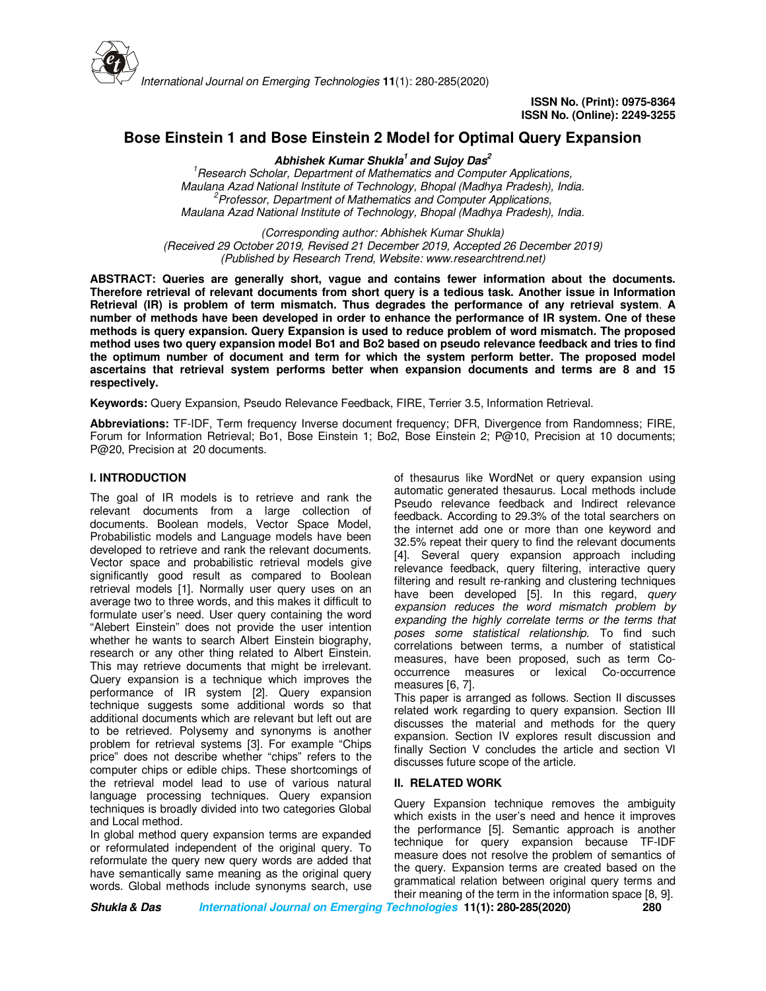

# **Bose Einstein 1 and Bose Einstein 2 Model for Optimal Query Expansion**

**Abhishek Kumar Shukla<sup>1</sup>and Sujoy Das<sup>2</sup>**

*<sup>1</sup>Research Scholar, Department of Mathematics and Computer Applications, Maulana Azad National Institute of Technology, Bhopal (Madhya Pradesh), India. <sup>2</sup>Professor, Department of Mathematics and Computer Applications, Maulana Azad National Institute of Technology, Bhopal (Madhya Pradesh), India.*

*(Corresponding author: Abhishek Kumar Shukla) (Received 29 October 2019, Revised 21 December 2019, Accepted 26 December 2019) (Published by Research Trend, Website: www.researchtrend.net)*

**ABSTRACT: Queries are generally short, vague and contains fewer information about the documents. Therefore retrieval of relevant documents from short query is a tedious task. Another issue in Information Retrieval (IR) is problem of term mismatch. Thus degrades the performance of any retrieval system**. **A number of methods have been developed in order to enhance the performance of IR system. One of these methods is query expansion. Query Expansion is used to reduce problem of word mismatch. The proposed method uses two query expansion model Bo1 and Bo2 based on pseudo relevance feedback and tries to find the optimum number of document and term for which the system perform better. The proposed model ascertains that retrieval system performs better when expansion documents and terms are 8 and 15 respectively.** 

**Keywords:** Query Expansion, Pseudo Relevance Feedback, FIRE, Terrier 3.5, Information Retrieval.

**Abbreviations:** TF-IDF, Term frequency Inverse document frequency; DFR, Divergence from Randomness; FIRE, Forum for Information Retrieval; Bo1, Bose Einstein 1; Bo2, Bose Einstein 2; P@10, Precision at 10 documents; P@20, Precision at 20 documents.

# **I. INTRODUCTION**

The goal of IR models is to retrieve and rank the relevant documents from a large collection of documents. Boolean models, Vector Space Model, Probabilistic models and Language models have been developed to retrieve and rank the relevant documents. Vector space and probabilistic retrieval models give significantly good result as compared to Boolean retrieval models [1]. Normally user query uses on an average two to three words, and this makes it difficult to formulate user's need. User query containing the word "Alebert Einstein" does not provide the user intention whether he wants to search Albert Einstein biography, research or any other thing related to Albert Einstein. This may retrieve documents that might be irrelevant. Query expansion is a technique which improves the performance of IR system [2]. Query expansion technique suggests some additional words so that additional documents which are relevant but left out are to be retrieved. Polysemy and synonyms is another problem for retrieval systems [3]. For example "Chips price" does not describe whether "chips" refers to the computer chips or edible chips. These shortcomings of the retrieval model lead to use of various natural language processing techniques. Query expansion techniques is broadly divided into two categories Global and Local method.

In global method query expansion terms are expanded or reformulated independent of the original query. To reformulate the query new query words are added that have semantically same meaning as the original query words. Global methods include synonyms search, use of thesaurus like WordNet or query expansion using automatic generated thesaurus. Local methods include Pseudo relevance feedback and Indirect relevance feedback. According to 29.3% of the total searchers on the internet add one or more than one keyword and 32.5% repeat their query to find the relevant documents [4]. Several query expansion approach including relevance feedback, query filtering, interactive query filtering and result re-ranking and clustering techniques have been developed [5]. In this regard, *query expansion reduces the word mismatch problem by expanding the highly correlate terms or the terms that poses some statistical relationship.* To find such correlations between terms, a number of statistical measures, have been proposed, such as term Cooccurrence measures or lexical Co-occurrence measures [6, 7].

This paper is arranged as follows. Section II discusses related work regarding to query expansion. Section III discusses the material and methods for the query expansion. Section IV explores result discussion and finally Section V concludes the article and section VI discusses future scope of the article.

# **II. RELATED WORK**

Query Expansion technique removes the ambiguity which exists in the user's need and hence it improves the performance [5]. Semantic approach is another technique for query expansion because TF-IDF measure does not resolve the problem of semantics of the query. Expansion terms are created based on the grammatical relation between original query terms and their meaning of the term in the information space [8, 9].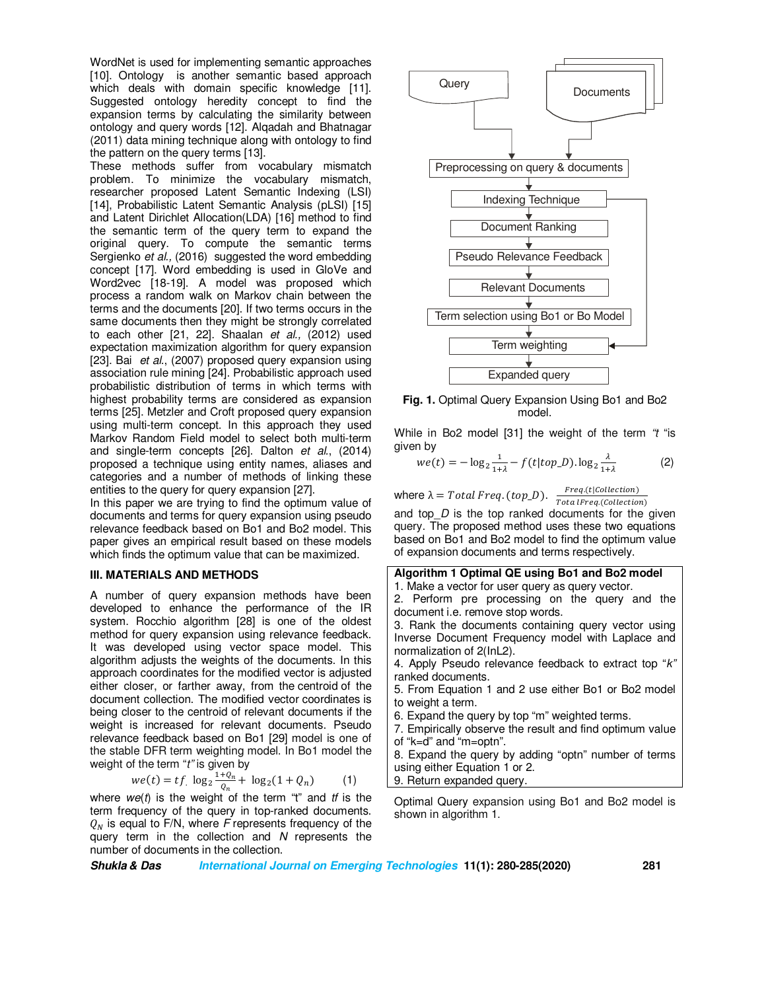WordNet is used for implementing semantic approaches [10]. Ontology is another semantic based approach which deals with domain specific knowledge [11]. Suggested ontology heredity concept to find the expansion terms by calculating the similarity between ontology and query words [12]. Alqadah and Bhatnagar (2011) data mining technique along with ontology to find the pattern on the query terms [13].

These methods suffer from vocabulary mismatch problem. To minimize the vocabulary mismatch, researcher proposed Latent Semantic Indexing (LSI) [14], Probabilistic Latent Semantic Analysis (pLSI) [15] and Latent Dirichlet Allocation(LDA) [16] method to find the semantic term of the query term to expand the original query. To compute the semantic terms Sergienko *et al.,* (2016) suggested the word embedding concept [17]. Word embedding is used in GloVe and Word2vec [18-19]. A model was proposed which process a random walk on Markov chain between the terms and the documents [20]. If two terms occurs in the same documents then they might be strongly correlated to each other [21, 22]. Shaalan *et al.,* (2012) used expectation maximization algorithm for query expansion [23]. Bai *et al.*, (2007) proposed query expansion using association rule mining [24]. Probabilistic approach used probabilistic distribution of terms in which terms with highest probability terms are considered as expansion terms [25]. Metzler and Croft proposed query expansion using multi-term concept. In this approach they used Markov Random Field model to select both multi-term and single-term concepts [26]. Dalton *et al.*, (2014) proposed a technique using entity names, aliases and categories and a number of methods of linking these entities to the query for query expansion [27].

In this paper we are trying to find the optimum value of documents and terms for query expansion using pseudo relevance feedback based on Bo1 and Bo2 model. This paper gives an empirical result based on these models which finds the optimum value that can be maximized.

#### **III. MATERIALS AND METHODS**

A number of query expansion methods have been developed to enhance the performance of the IR system. Rocchio algorithm [28] is one of the oldest method for query expansion using relevance feedback. It was developed using vector space model. This algorithm adjusts the weights of the documents. In this approach coordinates for the modified vector is adjusted either closer, or farther away, from the centroid of the document collection. The modified vector coordinates is being closer to the centroid of relevant documents if the weight is increased for relevant documents. Pseudo relevance feedback based on Bo1 [29] model is one of the stable DFR term weighting model. In Bo1 model the weight of the term "*t"* is given by

$$
we(t) = tf \cdot \log_2 \frac{1 + \varrho_n}{\varrho_n} + \log_2(1 + \varrho_n)
$$
 (1)

where  $we(t)$  is the weight of the term "t" and *tf* is the term frequency of the query in top-ranked documents.  $Q_N$  is equal to F/N, where *F* represents frequency of the query term in the collection and *N* represents the number of documents in the collection.



**Fig. 1.** Optimal Query Expansion Using Bo1 and Bo2 model.

While in Bo2 model [31] the weight of the term *"t* "is given by

$$
we(t) = -\log_2 \frac{1}{1+\lambda} - f(t|top_D) \cdot \log_2 \frac{\lambda}{1+\lambda}
$$
 (2)

where  $\lambda = Total$   $Freq.(top_D)$ .  $\frac{Freq.(t|Collection)}{Total~Freq.(Collection)}$ and top *D* is the top ranked documents for the given query. The proposed method uses these two equations based on Bo1 and Bo2 model to find the optimum value of expansion documents and terms respectively.

# **Algorithm 1 Optimal QE using Bo1 and Bo2 model**

1. Make a vector for user query as query vector.

2. Perform pre processing on the query and the document i.e. remove stop words.

3. Rank the documents containing query vector using Inverse Document Frequency model with Laplace and normalization of 2(InL2).

4. Apply Pseudo relevance feedback to extract top "*k"* ranked documents.

5. From Equation 1 and 2 use either Bo1 or Bo2 model to weight a term.

6. Expand the query by top "m" weighted terms.

7. Empirically observe the result and find optimum value of "k=d" and "m=optn".

8. Expand the query by adding "optn" number of terms using either Equation 1 or 2.

9. Return expanded query.

Optimal Query expansion using Bo1 and Bo2 model is shown in algorithm 1.

**Shukla & Das International Journal on Emerging Technologies 11(1): 280-285(2020) 281**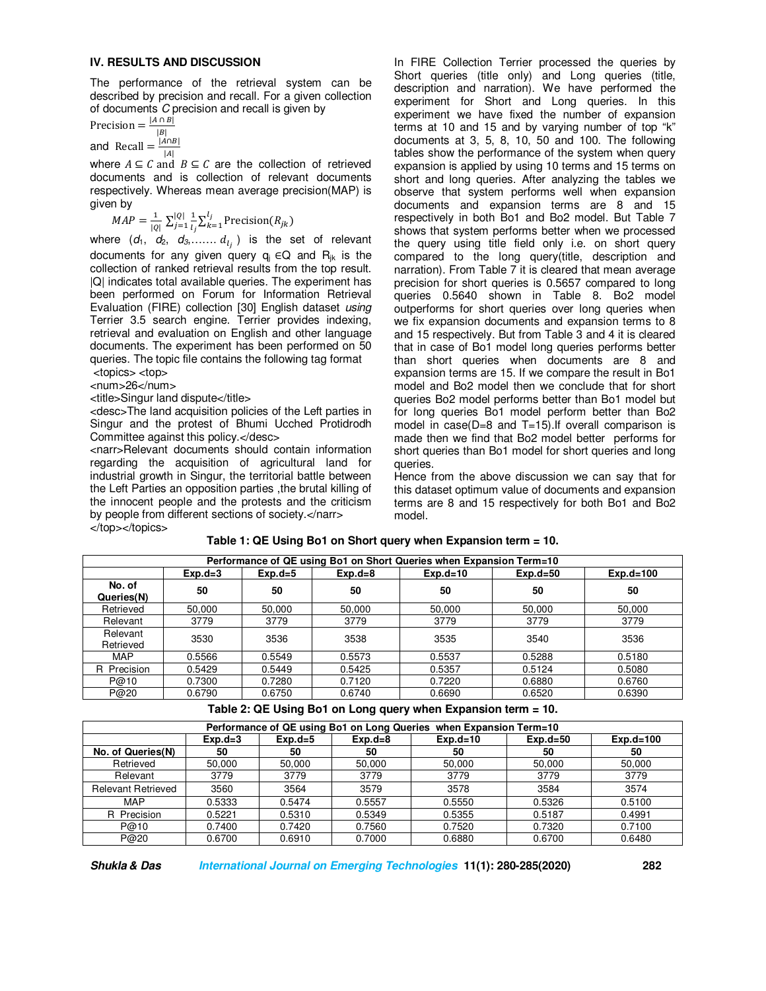#### **IV. RESULTS AND DISCUSSION**

The performance of the retrieval system can be described by precision and recall. For a given collection of documents *C* precision and recall is given by

Precision =  $\frac{|A \cap B|}{|B|}$ and Recall  $=$   $\frac{|A \cap B|}{|A|}$ 

where  $A \subseteq C$  and  $B \subseteq C$  are the collection of retrieved documents and is collection of relevant documents respectively. Whereas mean average precision(MAP) is given by

 $MAP = \frac{1}{|Q|} \sum_{j=1}^{|Q|} \frac{1}{l_j}$  $l_i$  $\frac{|Q|}{j=1} \frac{1}{l_i} \sum_{k=1}^{l_j} \text{Precision}(R_{jk})$  $k=1$ 

where  $(d_1, d_2, d_3, \ldots, d_{l_j})$  is the set of relevant documents for any given query  $q_i \in Q$  and R<sub>ik</sub> is the collection of ranked retrieval results from the top result. |Q| indicates total available queries. The experiment has been performed on Forum for Information Retrieval Evaluation (FIRE) collection [30] English dataset *using*  Terrier 3.5 search engine. Terrier provides indexing, retrieval and evaluation on English and other language documents. The experiment has been performed on 50 queries. The topic file contains the following tag format <topics> <top>

<num>26</num>

<title>Singur land dispute</title>

<desc>The land acquisition policies of the Left parties in Singur and the protest of Bhumi Ucched Protidrodh Committee against this policy.</desc>

<narr>Relevant documents should contain information regarding the acquisition of agricultural land for industrial growth in Singur, the territorial battle between the Left Parties an opposition parties ,the brutal killing of the innocent people and the protests and the criticism by people from different sections of society.</narr> </top></topics>

In FIRE Collection Terrier processed the queries by Short queries (title only) and Long queries (title, description and narration). We have performed the experiment for Short and Long queries. In this experiment we have fixed the number of expansion terms at 10 and 15 and by varying number of top "k" documents at 3, 5, 8, 10, 50 and 100. The following tables show the performance of the system when query expansion is applied by using 10 terms and 15 terms on short and long queries. After analyzing the tables we observe that system performs well when expansion documents and expansion terms are 8 and 15 respectively in both Bo1 and Bo2 model. But Table 7 shows that system performs better when we processed the query using title field only i.e. on short query compared to the long query(title, description and narration). From Table 7 it is cleared that mean average precision for short queries is 0.5657 compared to long queries 0.5640 shown in Table 8. Bo2 model outperforms for short queries over long queries when we fix expansion documents and expansion terms to 8 and 15 respectively. But from Table 3 and 4 it is cleared that in case of Bo1 model long queries performs better than short queries when documents are 8 and expansion terms are 15. If we compare the result in Bo1 model and Bo2 model then we conclude that for short queries Bo2 model performs better than Bo1 model but for long queries Bo1 model perform better than Bo2 model in case(D=8 and T=15).If overall comparison is made then we find that Bo2 model better performs for short queries than Bo1 model for short queries and long queries.

Hence from the above discussion we can say that for this dataset optimum value of documents and expansion terms are 8 and 15 respectively for both Bo1 and Bo2 model.

**Performance of QE using Bo1 on Short Queries when Expansion Term=10 Exp.d=3 Exp.d=5 Exp.d=8 Exp.d=10 Exp.d=50 Exp.d=100 No. of Queries(N) 50 50** 50 50 50 50 50 50 50 Retrieved | 50,000 | 50,000 | 50,000 | 50,000 | 50,000 | 50,000 Relevant 3779 3779 3779 3779 3779 3779 Relevant<br>Retrieved 1.0.0.0.0.1.<br>Retrieved 3530 3536 3538 3535 3540 3536 MAP | 0.5566 | 0.5549 | 0.5573 | 0.5537 | 0.5288 | 0.5180 R Precision | 0.5429 | 0.5449 | 0.5425 | 0.5357 | 0.5124 | 0.5080 P@10 | 0.7300 | 0.7280 | 0.7120 | 0.7220 | 0.6880 | 0.6760 P@20 | 0.6790 | 0.6750 | 0.6740 | 0.6690 | 0.6520 | 0.6390

# **Table 1: QE Using Bo1 on Short query when Expansion term = 10.**

**Table 2: QE Using Bo1 on Long query when Expansion term = 10.** 

| Performance of QE using Bo1 on Long Queries when Expansion Term=10 |           |           |             |            |              |             |  |  |
|--------------------------------------------------------------------|-----------|-----------|-------------|------------|--------------|-------------|--|--|
|                                                                    | $Exp.d=3$ | $Exp.d=5$ | $Exp.d = 8$ | $Exp.d=10$ | $Exp.d = 50$ | $Exp.d=100$ |  |  |
| No. of Queries(N)                                                  | 50        | 50        | 50          | 50         | 50           | 50          |  |  |
| Retrieved                                                          | 50.000    | 50.000    | 50,000      | 50,000     | 50,000       | 50,000      |  |  |
| Relevant                                                           | 3779      | 3779      | 3779        | 3779       | 3779         | 3779        |  |  |
| <b>Relevant Retrieved</b>                                          | 3560      | 3564      | 3579        | 3578       | 3584         | 3574        |  |  |
| <b>MAP</b>                                                         | 0.5333    | 0.5474    | 0.5557      | 0.5550     | 0.5326       | 0.5100      |  |  |
| R Precision                                                        | 0.5221    | 0.5310    | 0.5349      | 0.5355     | 0.5187       | 0.4991      |  |  |
| P@10                                                               | 0.7400    | 0.7420    | 0.7560      | 0.7520     | 0.7320       | 0.7100      |  |  |
| P@20                                                               | 0.6700    | 0.6910    | 0.7000      | 0.6880     | 0.6700       | 0.6480      |  |  |

**Shukla & Das International Journal on Emerging Technologies 11(1): 280-285(2020) 282**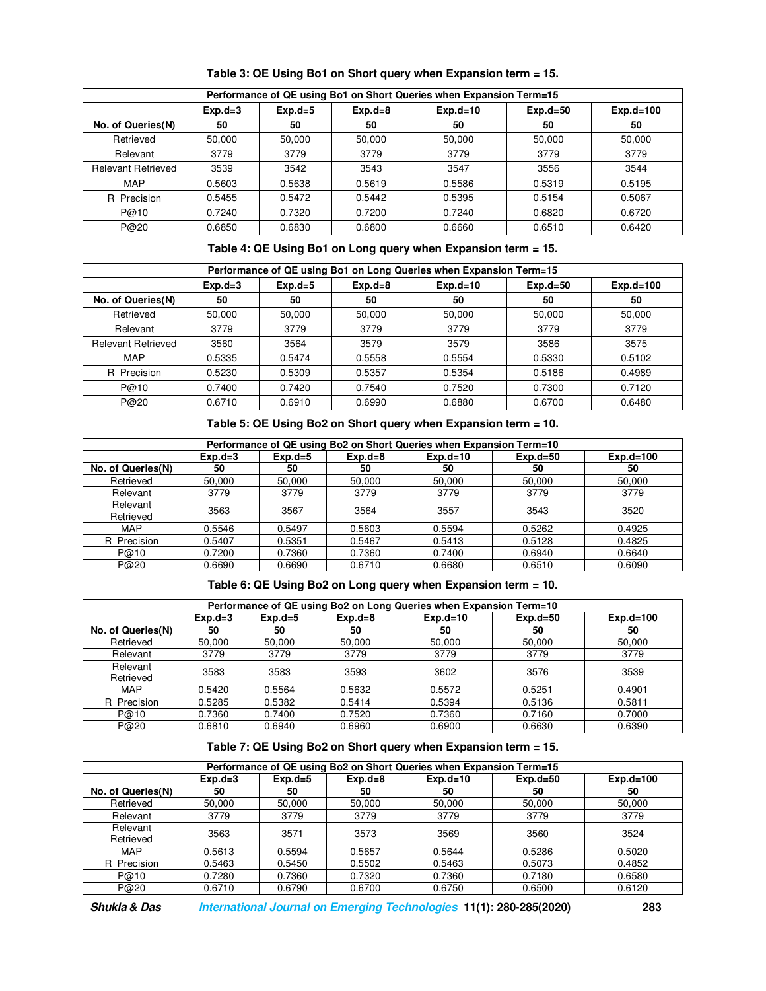| Performance of QE using Bo1 on Short Queries when Expansion Term=15 |           |           |             |            |              |             |  |  |
|---------------------------------------------------------------------|-----------|-----------|-------------|------------|--------------|-------------|--|--|
|                                                                     | $Exp.d=3$ | $Exp.d=5$ | $Exp.d = 8$ | $Exp.d=10$ | $Exp.d = 50$ | $Exp.d=100$ |  |  |
| No. of Queries(N)                                                   | 50        | 50        | 50          | 50         | 50           | 50          |  |  |
| Retrieved                                                           | 50,000    | 50.000    | 50,000      | 50.000     | 50,000       | 50,000      |  |  |
| Relevant                                                            | 3779      | 3779      | 3779        | 3779       | 3779         | 3779        |  |  |
| <b>Relevant Retrieved</b>                                           | 3539      | 3542      | 3543        | 3547       | 3556         | 3544        |  |  |
| <b>MAP</b>                                                          | 0.5603    | 0.5638    | 0.5619      | 0.5586     | 0.5319       | 0.5195      |  |  |
| R Precision                                                         | 0.5455    | 0.5472    | 0.5442      | 0.5395     | 0.5154       | 0.5067      |  |  |
| P@10                                                                | 0.7240    | 0.7320    | 0.7200      | 0.7240     | 0.6820       | 0.6720      |  |  |
| P@20                                                                | 0.6850    | 0.6830    | 0.6800      | 0.6660     | 0.6510       | 0.6420      |  |  |

**Table 3: QE Using Bo1 on Short query when Expansion term = 15.** 

**Table 4: QE Using Bo1 on Long query when Expansion term = 15.** 

| Performance of QE using Bo1 on Long Queries when Expansion Term=15 |           |           |             |            |              |             |  |  |
|--------------------------------------------------------------------|-----------|-----------|-------------|------------|--------------|-------------|--|--|
|                                                                    | $Exp.d=3$ | $Exp.d=5$ | $Exp.d = 8$ | $Exp.d=10$ | $Exp.d = 50$ | $Exp.d=100$ |  |  |
| No. of Queries(N)                                                  | 50        | 50        | 50          | 50         | 50           | 50          |  |  |
| Retrieved                                                          | 50,000    | 50.000    | 50,000      | 50.000     | 50,000       | 50,000      |  |  |
| Relevant                                                           | 3779      | 3779      | 3779        | 3779       | 3779         | 3779        |  |  |
| <b>Relevant Retrieved</b>                                          | 3560      | 3564      | 3579        | 3579       | 3586         | 3575        |  |  |
| MAP                                                                | 0.5335    | 0.5474    | 0.5558      | 0.5554     | 0.5330       | 0.5102      |  |  |
| R Precision                                                        | 0.5230    | 0.5309    | 0.5357      | 0.5354     | 0.5186       | 0.4989      |  |  |
| P@10                                                               | 0.7400    | 0.7420    | 0.7540      | 0.7520     | 0.7300       | 0.7120      |  |  |
| P@20                                                               | 0.6710    | 0.6910    | 0.6990      | 0.6880     | 0.6700       | 0.6480      |  |  |

**Table 5: QE Using Bo2 on Short query when Expansion term = 10.** 

| Performance of QE using Bo2 on Short Queries when Expansion Term=10 |           |           |             |            |              |             |  |
|---------------------------------------------------------------------|-----------|-----------|-------------|------------|--------------|-------------|--|
|                                                                     | $Exp.d=3$ | $Exp.d=5$ | $Exp.d = 8$ | $Exp.d=10$ | $Exp.d = 50$ | $Exp.d=100$ |  |
| No. of Queries(N)                                                   | 50        | 50        | 50          | 50         | 50           | 50          |  |
| Retrieved                                                           | 50.000    | 50.000    | 50.000      | 50,000     | 50.000       | 50.000      |  |
| Relevant                                                            | 3779      | 3779      | 3779        | 3779       | 3779         | 3779        |  |
| Relevant<br>Retrieved                                               | 3563      | 3567      | 3564        | 3557       | 3543         | 3520        |  |
| <b>MAP</b>                                                          | 0.5546    | 0.5497    | 0.5603      | 0.5594     | 0.5262       | 0.4925      |  |
| R Precision                                                         | 0.5407    | 0.5351    | 0.5467      | 0.5413     | 0.5128       | 0.4825      |  |
| P@10                                                                | 0.7200    | 0.7360    | 0.7360      | 0.7400     | 0.6940       | 0.6640      |  |
| P@20                                                                | 0.6690    | 0.6690    | 0.6710      | 0.6680     | 0.6510       | 0.6090      |  |

**Table 6: QE Using Bo2 on Long query when Expansion term = 10.** 

| Performance of QE using Bo2 on Long Queries when Expansion Term=10 |           |                                                                       |        |        |        |        |  |  |  |
|--------------------------------------------------------------------|-----------|-----------------------------------------------------------------------|--------|--------|--------|--------|--|--|--|
|                                                                    | $Exp.d=3$ | $Exp.d=10$<br>$Exp.d=100$<br>$Exp.d = 8$<br>$Exp.d = 50$<br>$Exp.d=5$ |        |        |        |        |  |  |  |
| No. of Queries(N)                                                  | 50        | 50                                                                    | 50     | 50     | 50     | 50     |  |  |  |
| Retrieved                                                          | 50.000    | 50,000                                                                | 50,000 | 50,000 | 50,000 | 50,000 |  |  |  |
| Relevant                                                           | 3779      | 3779                                                                  | 3779   | 3779   | 3779   | 3779   |  |  |  |
| Relevant<br>Retrieved                                              | 3583      | 3583                                                                  | 3593   | 3602   | 3576   | 3539   |  |  |  |
| MAP                                                                | 0.5420    | 0.5564                                                                | 0.5632 | 0.5572 | 0.5251 | 0.4901 |  |  |  |
| R Precision                                                        | 0.5285    | 0.5382                                                                | 0.5414 | 0.5394 | 0.5136 | 0.5811 |  |  |  |
| P@10                                                               | 0.7360    | 0.7400                                                                | 0.7520 | 0.7360 | 0.7160 | 0.7000 |  |  |  |
| P@20                                                               | 0.6810    | 0.6940                                                                | 0.6960 | 0.6900 | 0.6630 | 0.6390 |  |  |  |

# **Table 7: QE Using Bo2 on Short query when Expansion term = 15.**

| Performance of QE using Bo2 on Short Queries when Expansion Term=15 |           |           |             |            |              |             |  |  |
|---------------------------------------------------------------------|-----------|-----------|-------------|------------|--------------|-------------|--|--|
|                                                                     | $Exp.d=3$ | $Exp.d=5$ | $Exp.d = 8$ | $Exp.d=10$ | $Exp.d = 50$ | $Exp.d=100$ |  |  |
| No. of Queries(N)                                                   | 50        | 50        | 50          | 50         | 50           | 50          |  |  |
| Retrieved                                                           | 50.000    | 50.000    | 50,000      | 50,000     | 50,000       | 50,000      |  |  |
| Relevant                                                            | 3779      | 3779      | 3779        | 3779       | 3779         | 3779        |  |  |
| Relevant<br>Retrieved                                               | 3563      | 3571      | 3573        | 3569       | 3560         | 3524        |  |  |
| MAP                                                                 | 0.5613    | 0.5594    | 0.5657      | 0.5644     | 0.5286       | 0.5020      |  |  |
| R Precision                                                         | 0.5463    | 0.5450    | 0.5502      | 0.5463     | 0.5073       | 0.4852      |  |  |
| P@10                                                                | 0.7280    | 0.7360    | 0.7320      | 0.7360     | 0.7180       | 0.6580      |  |  |
| P@20                                                                | 0.6710    | 0.6790    | 0.6700      | 0.6750     | 0.6500       | 0.6120      |  |  |

**Shukla & Das International Journal on Emerging Technologies 11(1): 280-285(2020) 283**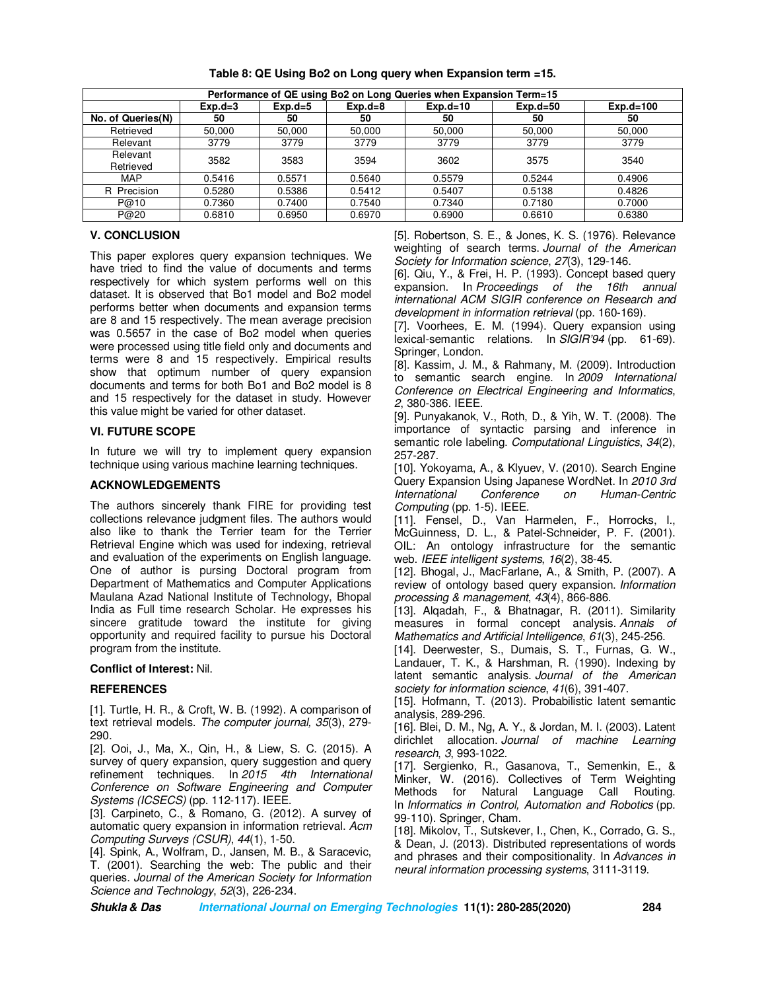| Performance of QE using Bo2 on Long Queries when Expansion Term=15 |           |           |             |            |              |             |  |  |
|--------------------------------------------------------------------|-----------|-----------|-------------|------------|--------------|-------------|--|--|
|                                                                    | $Exp.d=3$ | $Exp.d=5$ | $Exp.d = 8$ | $Exp.d=10$ | $Exp.d = 50$ | $Exp.d=100$ |  |  |
| No. of Queries(N)                                                  | 50        | 50        | 50          | 50         | 50           | 50          |  |  |
| Retrieved                                                          | 50.000    | 50,000    | 50,000      | 50,000     | 50.000       | 50.000      |  |  |
| Relevant                                                           | 3779      | 3779      | 3779        | 3779       | 3779         | 3779        |  |  |
| Relevant<br>Retrieved                                              | 3582      | 3583      | 3594        | 3602       | 3575         | 3540        |  |  |
| <b>MAP</b>                                                         | 0.5416    | 0.5571    | 0.5640      | 0.5579     | 0.5244       | 0.4906      |  |  |
| R Precision                                                        | 0.5280    | 0.5386    | 0.5412      | 0.5407     | 0.5138       | 0.4826      |  |  |
| P@10                                                               | 0.7360    | 0.7400    | 0.7540      | 0.7340     | 0.7180       | 0.7000      |  |  |
| P@20                                                               | 0.6810    | 0.6950    | 0.6970      | 0.6900     | 0.6610       | 0.6380      |  |  |

**Table 8: QE Using Bo2 on Long query when Expansion term =15.** 

# **V. CONCLUSION**

This paper explores query expansion techniques. We have tried to find the value of documents and terms respectively for which system performs well on this dataset. It is observed that Bo1 model and Bo2 model performs better when documents and expansion terms are 8 and 15 respectively. The mean average precision was 0.5657 in the case of Bo2 model when queries were processed using title field only and documents and terms were 8 and 15 respectively. Empirical results show that optimum number of query expansion documents and terms for both Bo1 and Bo2 model is 8 and 15 respectively for the dataset in study. However this value might be varied for other dataset.

# **VI. FUTURE SCOPE**

In future we will try to implement query expansion technique using various machine learning techniques.

# **ACKNOWLEDGEMENTS**

The authors sincerely thank FIRE for providing test collections relevance judgment files. The authors would also like to thank the Terrier team for the Terrier Retrieval Engine which was used for indexing, retrieval and evaluation of the experiments on English language. One of author is pursing Doctoral program from Department of Mathematics and Computer Applications Maulana Azad National Institute of Technology, Bhopal India as Full time research Scholar. He expresses his sincere gratitude toward the institute for giving opportunity and required facility to pursue his Doctoral program from the institute.

#### **Conflict of Interest:** Nil.

# **REFERENCES**

[1]. Turtle, H. R., & Croft, W. B. (1992). A comparison of text retrieval models. *The computer journal, 35*(3), 279- 290.

[2]. Ooi, J., Ma, X., Qin, H., & Liew, S. C. (2015). A survey of query expansion, query suggestion and query refinement techniques. In *2015 4th International Conference on Software Engineering and Computer Systems (ICSECS)* (pp. 112-117). IEEE.

[3]. Carpineto, C., & Romano, G. (2012). A survey of automatic query expansion in information retrieval. *Acm Computing Surveys (CSUR)*, *44*(1), 1-50.

[4]. Spink, A., Wolfram, D., Jansen, M. B., & Saracevic, T. (2001). Searching the web: The public and their queries. *Journal of the American Society for Information Science and Technology*, *52*(3), 226-234.

[5]. Robertson, S. E., & Jones, K. S. (1976). Relevance weighting of search terms. *Journal of the American Society for Information science*, *27*(3), 129-146.

[6]. Qiu, Y., & Frei, H. P. (1993). Concept based query expansion. In *Proceedings of the 16th annual international ACM SIGIR conference on Research and development in information retrieval* (pp. 160-169).

[7]. Voorhees, E. M. (1994). Query expansion using lexical-semantic relations. In *SIGIR'94* (pp. 61-69). Springer, London.

[8]. Kassim, J. M., & Rahmany, M. (2009). Introduction to semantic search engine. In *2009 International Conference on Electrical Engineering and Informatics*, *2*, 380-386. IEEE.

[9]. Punyakanok, V., Roth, D., & Yih, W. T. (2008). The importance of syntactic parsing and inference in semantic role labeling. *Computational Linguistics*, *34*(2), 257-287.

[10]. Yokoyama, A., & Klyuev, V. (2010). Search Engine Query Expansion Using Japanese WordNet. In *2010 3rd International Conference on Human-Centric Computing* (pp. 1-5). IEEE.

[11]. Fensel, D., Van Harmelen, F., Horrocks, I., McGuinness, D. L., & Patel-Schneider, P. F. (2001). OIL: An ontology infrastructure for the semantic web. *IEEE intelligent systems*, *16*(2), 38-45.

[12]. Bhogal, J., MacFarlane, A., & Smith, P. (2007). A review of ontology based query expansion. *Information processing & management*, *43*(4), 866-886.

[13]. Alqadah, F., & Bhatnagar, R. (2011). Similarity measures in formal concept analysis. *Annals of Mathematics and Artificial Intelligence*, *61*(3), 245-256.

[14]. Deerwester, S., Dumais, S. T., Furnas, G. W., Landauer, T. K., & Harshman, R. (1990). Indexing by latent semantic analysis. *Journal of the American society for information science*, *41*(6), 391-407.

[15]. Hofmann, T. (2013). Probabilistic latent semantic analysis, 289-296.

[16]. Blei, D. M., Ng, A. Y., & Jordan, M. I. (2003). Latent dirichlet allocation. *Journal of machine Learning research*, *3*, 993-1022.

[17]. Sergienko, R., Gasanova, T., Semenkin, E., & Minker, W. (2016). Collectives of Term Weighting Methods for Natural Language Call Routing. In *Informatics in Control, Automation and Robotics* (pp. 99-110). Springer, Cham.

[18]. Mikolov, T., Sutskever, I., Chen, K., Corrado, G. S., & Dean, J. (2013). Distributed representations of words and phrases and their compositionality. In *Advances in neural information processing systems*, 3111-3119.